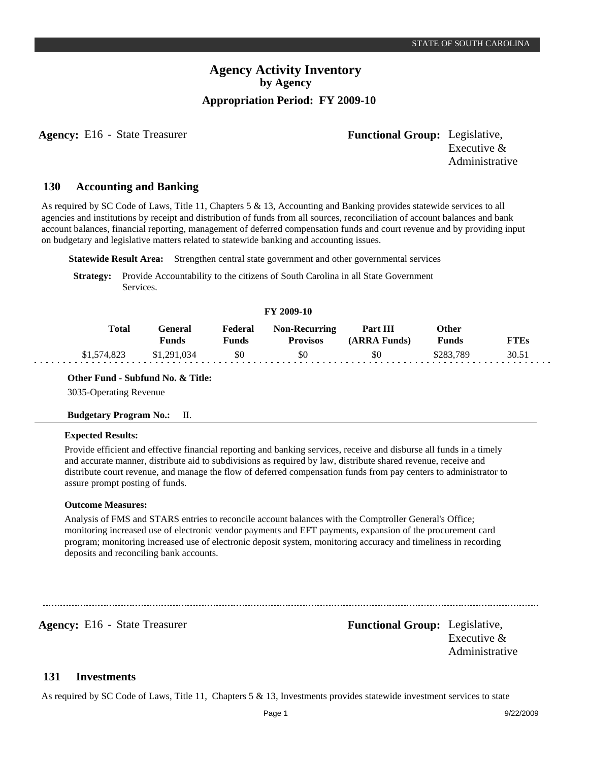**Agency:** E16 - State Treasurer **-** *Functional Group:* Legislative, Executive & Administrative

#### **Accounting and Banking 130**

As required by SC Code of Laws, Title 11, Chapters 5 & 13, Accounting and Banking provides statewide services to all agencies and institutions by receipt and distribution of funds from all sources, reconciliation of account balances and bank account balances, financial reporting, management of deferred compensation funds and court revenue and by providing input on budgetary and legislative matters related to statewide banking and accounting issues.

**Statewide Result Area:** Strengthen central state government and other governmental services

**Strategy:** Provide Accountability to the citizens of South Carolina in all State Government Services.

#### **FY 2009-10**

| Total       | General<br>Funds | Federal<br>Funds | <b>Non-Recurring</b><br><b>Provisos</b> | Part III<br>(ARRA Funds) | Other<br>Funds | FTEs  |
|-------------|------------------|------------------|-----------------------------------------|--------------------------|----------------|-------|
| \$1,574,823 | \$1,291,034      | \$0              | \$0                                     | \$0                      | \$283.789      | 30.51 |

#### **Other Fund - Subfund No. & Title:**

3035-Operating Revenue

#### **Budgetary Program No.:** II.

#### **Expected Results:**

Provide efficient and effective financial reporting and banking services, receive and disburse all funds in a timely and accurate manner, distribute aid to subdivisions as required by law, distribute shared revenue, receive and distribute court revenue, and manage the flow of deferred compensation funds from pay centers to administrator to assure prompt posting of funds.

#### **Outcome Measures:**

Analysis of FMS and STARS entries to reconcile account balances with the Comptroller General's Office; monitoring increased use of electronic vendor payments and EFT payments, expansion of the procurement card program; monitoring increased use of electronic deposit system, monitoring accuracy and timeliness in recording deposits and reconciling bank accounts.

**Agency:** E16 - State Treasurer **-** *Functional Group:* Legislative, Executive & Administrative

#### **Investments 131**

As required by SC Code of Laws, Title 11, Chapters 5 & 13, Investments provides statewide investment services to state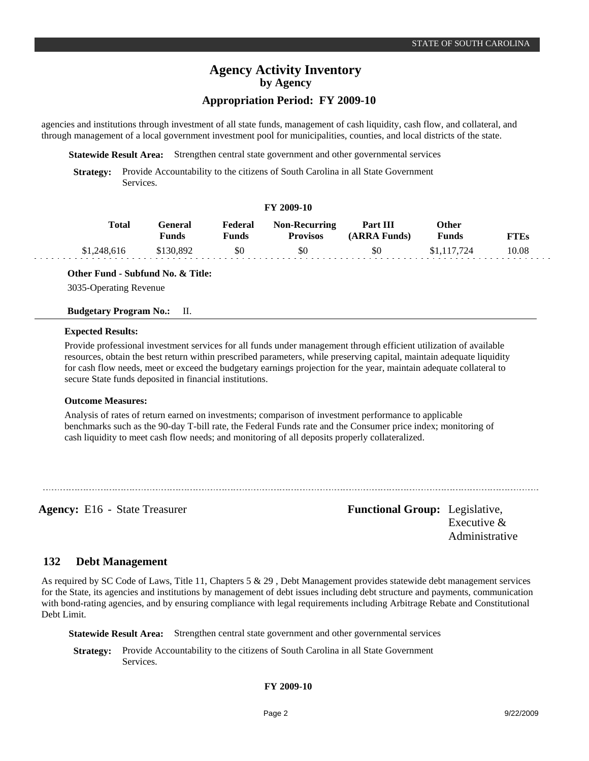# **Agency Activity Inventory by Agency**

## **Appropriation Period: FY 2009-10**

agencies and institutions through investment of all state funds, management of cash liquidity, cash flow, and collateral, and through management of a local government investment pool for municipalities, counties, and local districts of the state.

**Statewide Result Area:** Strengthen central state government and other governmental services

**Strategy:** Provide Accountability to the citizens of South Carolina in all State Government Services.

#### **FY 2009-10**

| <b>Total</b> | <b>General</b><br>Funds | Federal<br><b>Funds</b> | <b>Non-Recurring</b><br><b>Provisos</b> | Part III<br>(ARRA Funds) | Other<br><b>Funds</b> | <b>FTEs</b> |  |
|--------------|-------------------------|-------------------------|-----------------------------------------|--------------------------|-----------------------|-------------|--|
| \$1,248,616  | \$130.892               | \$0                     | \$0                                     | \$0                      | \$1,117,724           | 10.08       |  |

**Other Fund - Subfund No. & Title:**

3035-Operating Revenue

#### **Budgetary Program No.:** II.

#### **Expected Results:**

2020

Provide professional investment services for all funds under management through efficient utilization of available resources, obtain the best return within prescribed parameters, while preserving capital, maintain adequate liquidity for cash flow needs, meet or exceed the budgetary earnings projection for the year, maintain adequate collateral to secure State funds deposited in financial institutions.

### **Outcome Measures:**

Analysis of rates of return earned on investments; comparison of investment performance to applicable benchmarks such as the 90-day T-bill rate, the Federal Funds rate and the Consumer price index; monitoring of cash liquidity to meet cash flow needs; and monitoring of all deposits properly collateralized.

**Agency:** E16 - State Treasurer **Functional Group:** Legislative, Executive & Administrative

#### **Debt Management 132**

As required by SC Code of Laws, Title 11, Chapters 5 & 29 , Debt Management provides statewide debt management services for the State, its agencies and institutions by management of debt issues including debt structure and payments, communication with bond-rating agencies, and by ensuring compliance with legal requirements including Arbitrage Rebate and Constitutional Debt Limit.

**Statewide Result Area:** Strengthen central state government and other governmental services

**Strategy:** Provide Accountability to the citizens of South Carolina in all State Government Services.

### **FY 2009-10**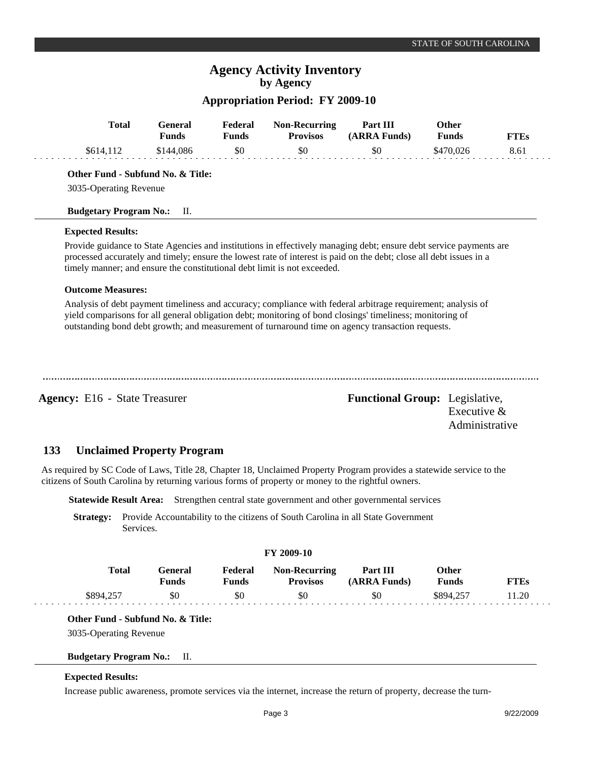# **Agency Activity Inventory by Agency**

## **Appropriation Period: FY 2009-10**

| <b>Total</b>                                                                                       | <b>Funds</b> | <b>General</b> | Federal<br><b>Funds</b> | <b>Non-Recurring</b><br><b>Provisos</b>                                  | Part III<br>(ARRA Funds)                                                                                                                                                                                                                                                                                                      | Other<br><b>Funds</b> | <b>FTEs</b>                     |
|----------------------------------------------------------------------------------------------------|--------------|----------------|-------------------------|--------------------------------------------------------------------------|-------------------------------------------------------------------------------------------------------------------------------------------------------------------------------------------------------------------------------------------------------------------------------------------------------------------------------|-----------------------|---------------------------------|
| \$614,112                                                                                          |              | \$144,086      | \$0                     | \$0                                                                      | \$0                                                                                                                                                                                                                                                                                                                           | \$470,026             | 8.61                            |
| Other Fund - Subfund No. & Title:                                                                  |              |                |                         |                                                                          |                                                                                                                                                                                                                                                                                                                               |                       |                                 |
| 3035-Operating Revenue                                                                             |              |                |                         |                                                                          |                                                                                                                                                                                                                                                                                                                               |                       |                                 |
| <b>Budgetary Program No.:</b>                                                                      |              | П.             |                         |                                                                          |                                                                                                                                                                                                                                                                                                                               |                       |                                 |
| <b>Expected Results:</b>                                                                           |              |                |                         |                                                                          |                                                                                                                                                                                                                                                                                                                               |                       |                                 |
|                                                                                                    |              |                |                         | timely manner; and ensure the constitutional debt limit is not exceeded. | Provide guidance to State Agencies and institutions in effectively managing debt; ensure debt service payments are<br>processed accurately and timely; ensure the lowest rate of interest is paid on the debt; close all debt issues in a                                                                                     |                       |                                 |
| <b>Outcome Measures:</b>                                                                           |              |                |                         |                                                                          |                                                                                                                                                                                                                                                                                                                               |                       |                                 |
|                                                                                                    |              |                |                         |                                                                          | Analysis of debt payment timeliness and accuracy; compliance with federal arbitrage requirement; analysis of<br>yield comparisons for all general obligation debt; monitoring of bond closings' timeliness; monitoring of<br>outstanding bond debt growth; and measurement of turnaround time on agency transaction requests. |                       |                                 |
| <b>Agency: E16 - State Treasurer</b>                                                               |              |                |                         |                                                                          | <b>Functional Group:</b> Legislative,                                                                                                                                                                                                                                                                                         |                       | Executive $&$<br>Administrative |
| 133<br><b>Unclaimed Property Program</b>                                                           |              |                |                         |                                                                          |                                                                                                                                                                                                                                                                                                                               |                       |                                 |
| citizens of South Carolina by returning various forms of property or money to the rightful owners. |              |                |                         |                                                                          | As required by SC Code of Laws, Title 28, Chapter 18, Unclaimed Property Program provides a statewide service to the                                                                                                                                                                                                          |                       |                                 |
| <b>Statewide Result Area:</b>                                                                      |              |                |                         |                                                                          | Strengthen central state government and other governmental services                                                                                                                                                                                                                                                           |                       |                                 |
| <b>Strategy:</b>                                                                                   | Services.    |                |                         |                                                                          | Provide Accountability to the citizens of South Carolina in all State Government                                                                                                                                                                                                                                              |                       |                                 |
|                                                                                                    |              |                |                         | FY 2009-10                                                               |                                                                                                                                                                                                                                                                                                                               |                       |                                 |

| Total     | General<br>Funds | Federal<br>Funds | <b>Non-Recurring</b><br><b>Provisos</b> | Part III<br>(ARRA Funds) | Other<br><b>Funds</b> | <b>FTEs</b> |
|-----------|------------------|------------------|-----------------------------------------|--------------------------|-----------------------|-------------|
| \$894,257 | \$0              | \$0              | \$0                                     | \$0                      | \$894.257             | 11.20       |

## **Other Fund - Subfund No. & Title:**

3035-Operating Revenue

## **Budgetary Program No.:** II.

### **Expected Results:**

Increase public awareness, promote services via the internet, increase the return of property, decrease the turn-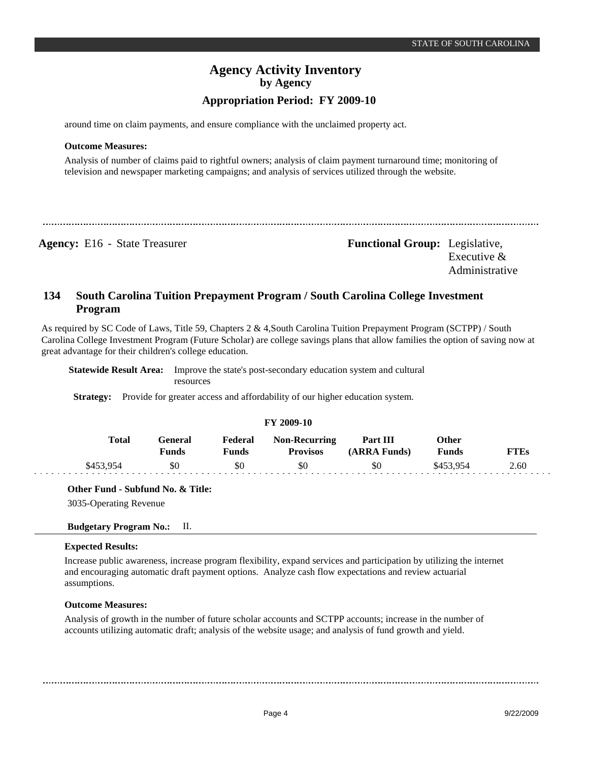around time on claim payments, and ensure compliance with the unclaimed property act.

### **Outcome Measures:**

Analysis of number of claims paid to rightful owners; analysis of claim payment turnaround time; monitoring of television and newspaper marketing campaigns; and analysis of services utilized through the website.

**Agency:** E16 - State Treasurer **-** *Functional Group:* Legislative, Executive & Administrative

#### **South Carolina Tuition Prepayment Program / South Carolina College Investment Program 134**

As required by SC Code of Laws, Title 59, Chapters 2 & 4,South Carolina Tuition Prepayment Program (SCTPP) / South Carolina College Investment Program (Future Scholar) are college savings plans that allow families the option of saving now at great advantage for their children's college education.

**Statewide Result Area:** Improve the state's post-secondary education system and cultural resources

**Strategy:** Provide for greater access and affordability of our higher education system.

| <b>FY 2009-10</b> |                         |                         |                                         |                          |                              |             |  |  |  |
|-------------------|-------------------------|-------------------------|-----------------------------------------|--------------------------|------------------------------|-------------|--|--|--|
| <b>Total</b>      | General<br><b>Funds</b> | Federal<br><b>Funds</b> | <b>Non-Recurring</b><br><b>Provisos</b> | Part III<br>(ARRA Funds) | <b>Other</b><br><b>Funds</b> | <b>FTEs</b> |  |  |  |
| \$453,954         | \$0                     | \$0                     | \$0                                     | \$0                      | \$453.954                    | 2.60        |  |  |  |

**Other Fund - Subfund No. & Title:**

3035-Operating Revenue

### **Budgetary Program No.:** II.

### **Expected Results:**

Increase public awareness, increase program flexibility, expand services and participation by utilizing the internet and encouraging automatic draft payment options. Analyze cash flow expectations and review actuarial assumptions.

### **Outcome Measures:**

Analysis of growth in the number of future scholar accounts and SCTPP accounts; increase in the number of accounts utilizing automatic draft; analysis of the website usage; and analysis of fund growth and yield.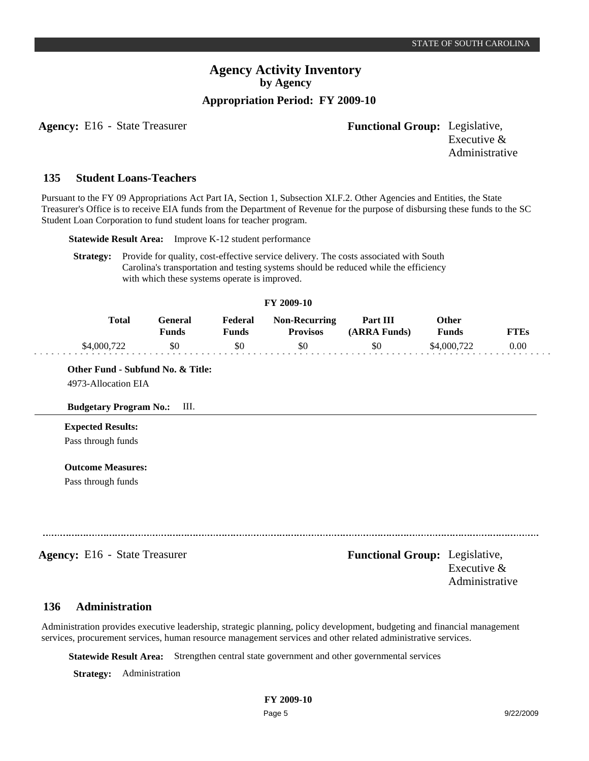**Agency:** E16 - State Treasurer **- Functional Group:** Legislative,

Executive & Administrative

#### **Student Loans-Teachers 135**

Pursuant to the FY 09 Appropriations Act Part IA, Section 1, Subsection XI.F.2. Other Agencies and Entities, the State Treasurer's Office is to receive EIA funds from the Department of Revenue for the purpose of disbursing these funds to the SC Student Loan Corporation to fund student loans for teacher program.

**Statewide Result Area:** Improve K-12 student performance

**Strategy:** Provide for quality, cost-effective service delivery. The costs associated with South Carolina's transportation and testing systems should be reduced while the efficiency with which these systems operate is improved.

#### **FY 2009-10**

| Total       | General)<br>Funds | Federal<br>Funds | <b>Non-Recurring</b><br><b>Provisos</b> | Part III<br>(ARRA Funds) | Other<br><b>Funds</b> | "TEs |
|-------------|-------------------|------------------|-----------------------------------------|--------------------------|-----------------------|------|
| \$4,000,722 | \$0               | \$0              | \$0                                     | \$0                      | \$4,000,722           | 0.00 |

**Other Fund - Subfund No. & Title:**

4973-Allocation EIA

### **Budgetary Program No.:** III.

## **Expected Results:**

Pass through funds

### **Outcome Measures:**

Pass through funds

**Agency:** E16 - State Treasurer **-** *Functional Group:* Legislative, Executive & Administrative

#### **Administration 136**

Administration provides executive leadership, strategic planning, policy development, budgeting and financial management services, procurement services, human resource management services and other related administrative services.

**Statewide Result Area:** Strengthen central state government and other governmental services

**Strategy:** Administration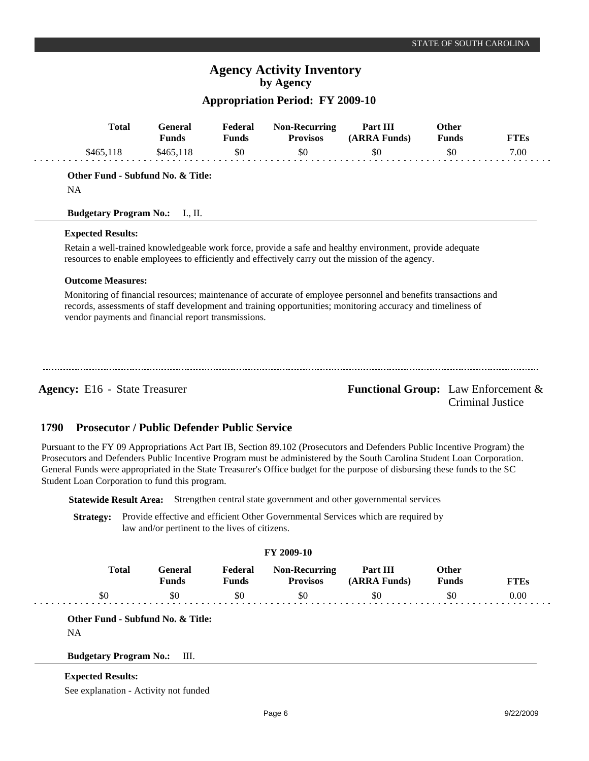# **Agency Activity Inventory by Agency**

## **Appropriation Period: FY 2009-10**

| <b>Total</b>                                        | <b>General</b><br><b>Funds</b> | Federal<br><b>Funds</b> | <b>Non-Recurring</b><br><b>Provisos</b> | Part III<br>(ARRA Funds)                                                                                                                                                                                                      | Other<br><b>Funds</b> | <b>FTEs</b>                                                    |
|-----------------------------------------------------|--------------------------------|-------------------------|-----------------------------------------|-------------------------------------------------------------------------------------------------------------------------------------------------------------------------------------------------------------------------------|-----------------------|----------------------------------------------------------------|
| \$465,118                                           | \$465,118                      | \$0                     | \$0                                     | \$0                                                                                                                                                                                                                           | \$0                   | 7.00                                                           |
| Other Fund - Subfund No. & Title:                   |                                |                         |                                         |                                                                                                                                                                                                                               |                       |                                                                |
| <b>NA</b>                                           |                                |                         |                                         |                                                                                                                                                                                                                               |                       |                                                                |
| <b>Budgetary Program No.:</b>                       | $\rm{I.}, \rm{II.}$            |                         |                                         |                                                                                                                                                                                                                               |                       |                                                                |
| <b>Expected Results:</b>                            |                                |                         |                                         |                                                                                                                                                                                                                               |                       |                                                                |
|                                                     |                                |                         |                                         | Retain a well-trained knowledgeable work force, provide a safe and healthy environment, provide adequate<br>resources to enable employees to efficiently and effectively carry out the mission of the agency.                 |                       |                                                                |
| <b>Outcome Measures:</b>                            |                                |                         |                                         |                                                                                                                                                                                                                               |                       |                                                                |
| vendor payments and financial report transmissions. |                                |                         |                                         | Monitoring of financial resources; maintenance of accurate of employee personnel and benefits transactions and<br>records, assessments of staff development and training opportunities; monitoring accuracy and timeliness of |                       |                                                                |
| <b>Agency:</b> E16 - State Treasurer                |                                |                         |                                         |                                                                                                                                                                                                                               |                       | <b>Functional Group:</b> Law Enforcement &<br>Criminal Justice |

#### **Prosecutor / Public Defender Public Service 1790**

Pursuant to the FY 09 Appropriations Act Part IB, Section 89.102 (Prosecutors and Defenders Public Incentive Program) the Prosecutors and Defenders Public Incentive Program must be administered by the South Carolina Student Loan Corporation. General Funds were appropriated in the State Treasurer's Office budget for the purpose of disbursing these funds to the SC Student Loan Corporation to fund this program.

**Statewide Result Area:** Strengthen central state government and other governmental services

**Strategy:** Provide effective and efficient Other Governmental Services which are required by law and/or pertinent to the lives of citizens.

| <b>FY 2009-10</b> |              |                         |                         |                                         |                          |                              |             |  |
|-------------------|--------------|-------------------------|-------------------------|-----------------------------------------|--------------------------|------------------------------|-------------|--|
|                   | <b>Total</b> | General<br><b>Funds</b> | Federal<br><b>Funds</b> | <b>Non-Recurring</b><br><b>Provisos</b> | Part III<br>(ARRA Funds) | <b>Other</b><br><b>Funds</b> | <b>FTEs</b> |  |
|                   | \$0          | \$0                     | \$0                     | \$0                                     | \$0                      | \$0                          | 0.00        |  |
|                   |              |                         |                         |                                         |                          |                              |             |  |

**Other Fund - Subfund No. & Title:**

NA

### **Budgetary Program No.:** III.

### **Expected Results:**

See explanation - Activity not funded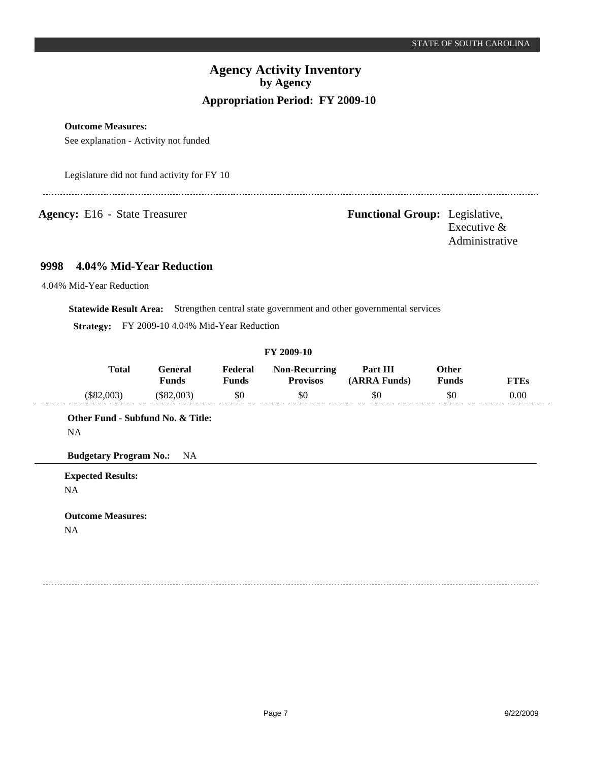**Outcome Measures:**

See explanation - Activity not funded

Legislature did not fund activity for FY 10

**Agency:** E16 - State Treasurer **- Functional Group:** Legislative, Executive & Administrative

#### **4.04% Mid-Year Reduction 9998**

4.04% Mid-Year Reduction

**Statewide Result Area:** Strengthen central state government and other governmental services

**Strategy:** FY 2009-10 4.04% Mid-Year Reduction

#### **FY 2009-10**

| <b>Total</b> | General<br><b>Funds</b> | Federal<br>प <sub>unds</sub> | <b>Non-Recurring</b><br><b>Provisos</b> | Part III<br>(ARRA Funds) | Other<br><b>Funds</b> | FTEs |
|--------------|-------------------------|------------------------------|-----------------------------------------|--------------------------|-----------------------|------|
| $(\$82.003)$ | (S82,003)               | \$0                          |                                         | \$0                      | \$0                   | 0.00 |

**Other Fund - Subfund No. & Title:** NA

**Budgetary Program No.:** NA

**Expected Results:** NA

**Outcome Measures:** NA